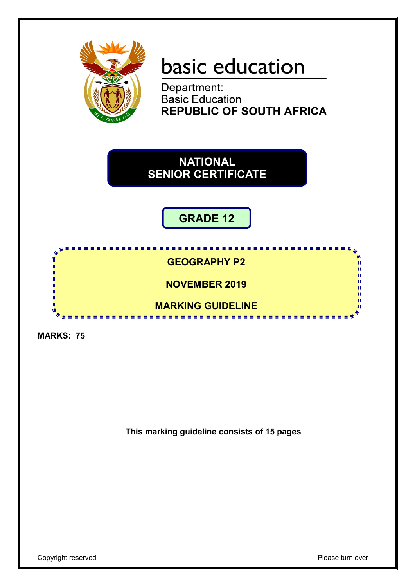

# basic education

Department: **Basic Education REPUBLIC OF SOUTH AFRICA** 

**NATIONAL SENIOR CERTIFICATE**

**GRADE 12**

r **GEOGRAPHY P2** n. ú, п ï, **NOVEMBER 2019** 庫 II. п IÈ, ш **MARKING GUIDELINE** т ....................

**MARKS: 75**

**This marking guideline consists of 15 pages**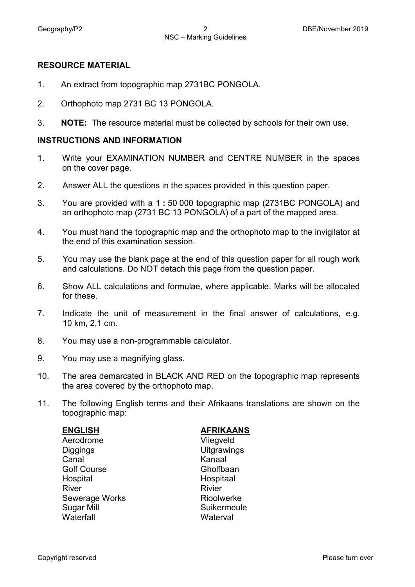#### **RESOURCE MATERIAL**

- 1. An extract from topographic map 2731BC PONGOLA.
- 2. Orthophoto map 2731 BC 13 PONGOLA.
- 3. **NOTE:** The resource material must be collected by schools for their own use.

#### **INSTRUCTIONS AND INFORMATION**

- 1. Write your EXAMINATION NUMBER and CENTRE NUMBER in the spaces on the cover page.
- 2. Answer ALL the questions in the spaces provided in this question paper.
- 3. You are provided with a 1 **:** 50 000 topographic map (2731BC PONGOLA) and an orthophoto map (2731 BC 13 PONGOLA) of a part of the mapped area.
- 4. You must hand the topographic map and the orthophoto map to the invigilator at the end of this examination session.
- 5. You may use the blank page at the end of this question paper for all rough work and calculations. Do NOT detach this page from the question paper.
- 6. Show ALL calculations and formulae, where applicable. Marks will be allocated for these.
- 7. Indicate the unit of measurement in the final answer of calculations, e.g. 10 km, 2,1 cm.
- 8. You may use a non-programmable calculator.
- 9. You may use a magnifying glass.
- 10. The area demarcated in BLACK AND RED on the topographic map represents the area covered by the orthophoto map.
- 11. The following English terms and their Afrikaans translations are shown on the topographic map:

| <b>ENGLISH</b>        | <b>AFRIKAANS</b>   |
|-----------------------|--------------------|
| Aerodrome             | Vliegveld          |
| <b>Diggings</b>       | <b>Uitgrawings</b> |
| Canal                 | Kanaal             |
| <b>Golf Course</b>    | Gholfbaan          |
| Hospital              | Hospitaal          |
| <b>River</b>          | <b>Rivier</b>      |
| <b>Sewerage Works</b> | Rioolwerke         |
| <b>Sugar Mill</b>     | Suikermeule        |
| Waterfall             | Waterval           |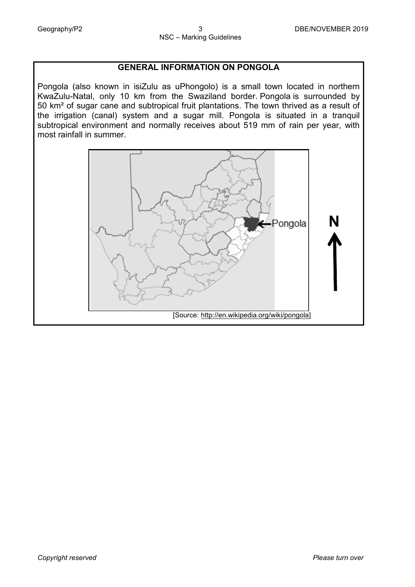# **GENERAL INFORMATION ON PONGOLA**

Pongola (also known in is[iZulu](https://en.wikipedia.org/wiki/Zulu_language) as uPhongolo) is a small town located in northern KwaZulu-Natal, only 10 km from the Swaziland border. Pongola is surrounded by 50 km² of sugar cane and subtropical fruit plantations. The town thrived as a result of the irrigation (canal) system and a sugar mill. Pongola is situated in a tranquil subtropical environment and normally receives about 519 mm of rain per year, with most rainfall in summer.

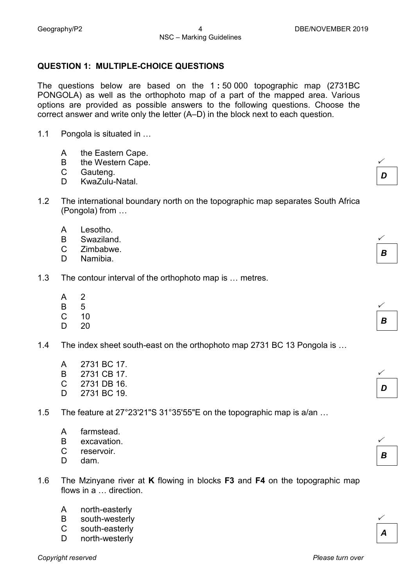$\checkmark$ 

 $\checkmark$ 

 $\checkmark$ 

 $\checkmark$ 

 $\checkmark$ 

 $\checkmark$ 

*A*

*B*

*D*

*B*

*B*

*D*

#### **QUESTION 1: MULTIPLE-CHOICE QUESTIONS**

The questions below are based on the 1 **:** 50 000 topographic map (2731BC PONGOLA) as well as the orthophoto map of a part of the mapped area. Various options are provided as possible answers to the following questions. Choose the correct answer and write only the letter (A–D) in the block next to each question.

- 1.1 Pongola is situated in …
	- A the Eastern Cape.
	- B the Western Cape.
	- C Gauteng.
	- D. KwaZulu-Natal.
- 1.2 The international boundary north on the topographic map separates South Africa (Pongola) from …
	- A Lesotho.
	- B Swaziland.
	- $\mathcal{C}$ Zimbabwe.
	- D. Namibia.
- 1.3 The contour interval of the orthophoto map is … metres.
	- A 2
	- B 5
	- C 10
	- D<sub>1</sub> 20

1.4 The index sheet south-east on the orthophoto map 2731 BC 13 Pongola is …

- A 2731 BC 17.
- B 2731 CB 17.
- C 2731 DB 16.
- D 2731 BC 19.
- 1.5 The feature at 27°23'21"S 31°35'55"E on the topographic map is a/an …
	- A farmstead.
	- B excavation.
	- C reservoir.
	- D. dam.
- 1.6 The Mzinyane river at **K** flowing in blocks **F3** and **F4** on the topographic map flows in a … direction.
	- A north-easterly
	- B south-westerly
	- $\mathcal{C}$ south-easterly
	- D north-westerly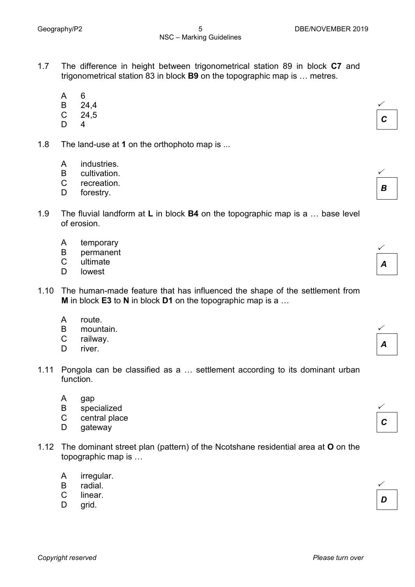- 1.7 The difference in height between trigonometrical station 89 in block **C7** and trigonometrical station 83 in block **B9** on the topographic map is … metres.
	- A 6
	- B 24,4
	- C 24,5
	- D. 4
- 1.8 The land-use at **1** on the orthophoto map is ...
	- A industries.
	- B cultivation.
	- C recreation.
	- D forestry.
- 1.9 The fluvial landform at **L** in block **B4** on the topographic map is a … base level of erosion.
	- A temporary
	- B permanent
	- C ultimate
	- D lowest
- 1.10 The human-made feature that has influenced the shape of the settlement from **M** in block **E3** to **N** in block **D1** on the topographic map is a …
	- A route.
	- B mountain.
	- $\mathbf{C}$ railway.
	- D. river.
- 1.11 Pongola can be classified as a … settlement according to its dominant urban function.
	- A gap
	- B specialized
	- C central place
	- D gateway
- 1.12 The dominant street plan (pattern) of the Ncotshane residential area at **O** on the topographic map is …
	- A irregular.
	- B radial.
	- $\mathcal{C}$ linear.
	- $\mathsf{D}$ grid.

*A*

 $\checkmark$ 

*C*

 $\checkmark$ 

*B*





| n |  |
|---|--|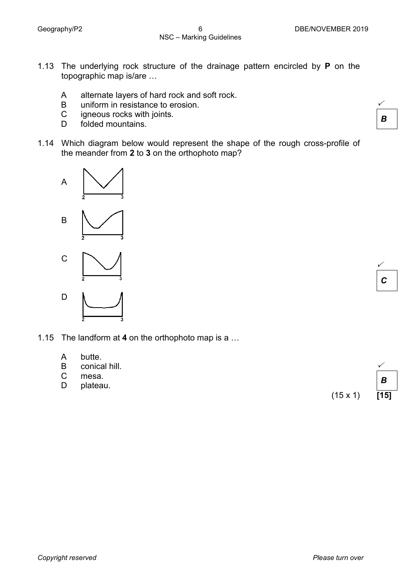- 1.13 The underlying rock structure of the drainage pattern encircled by **P** on the topographic map is/are …
	- A alternate layers of hard rock and soft rock.
	- B uniform in resistance to erosion.
	- C igneous rocks with joints.
	- D folded mountains.
- 1.14 Which diagram below would represent the shape of the rough cross-profile of the meander from **2** to **3** on the orthophoto map?





butte.

A

1.15 The landform at **4** on the orthophoto map is a …

| B            | conical hill. |                 |                  |  |
|--------------|---------------|-----------------|------------------|--|
| $\mathsf{C}$ | mesa.         |                 | $\boldsymbol{B}$ |  |
| D            | plateau.      |                 |                  |  |
|              |               | $(15 \times 1)$ | [15]             |  |
|              |               |                 |                  |  |

 $\checkmark$ *B*

*C*

 $\checkmark$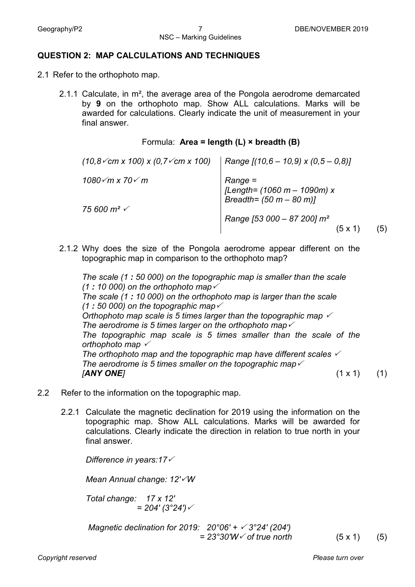#### **QUESTION 2: MAP CALCULATIONS AND TECHNIQUES**

- 2.1 Refer to the orthophoto map.
	- 2.1.1 Calculate, in m², the average area of the Pongola aerodrome demarcated by **9** on the orthophoto map. Show ALL calculations. Marks will be awarded for calculations. Clearly indicate the unit of measurement in your final answer.

#### Formula: **Area = length (L) × breadth (B)**

| $(10.8\sqrt{cm} \times 100) \times (0.7\sqrt{cm} \times 100)$ | Range $[(10,6 - 10,9) \times (0,5 - 0,8)]$                        |
|---------------------------------------------------------------|-------------------------------------------------------------------|
| 1080√m x 70√ m                                                | Range =<br>[Length= (1060 m – 1090m) x<br>Breadth= (50 m – 80 m)] |
| 75 600 m² √                                                   | Range [53 000 - 87 200] $m2$<br>(5)<br>$(5 \times 1)$             |

2.1.2 Why does the size of the Pongola aerodrome appear different on the topographic map in comparison to the orthophoto map?

*The scale (1 : 50 000) on the topographic map is smaller than the scale (1 : 10 000) on the orthophoto map The scale (1 : 10 000) on the orthophoto map is larger than the scale (1 : 50 000) on the topographic map Orthophoto map scale is 5 times larger than the topographic map The aerodrome is 5 times larger on the orthophoto map The topographic map scale is 5 times smaller than the scale of the orthophoto map The orthophoto map and the topographic map have different scales The aerodrome is 5 times smaller on the topographic map [ANY ONE]* (1 x 1) (1)

- 2.2 Refer to the information on the topographic map.
	- 2.2.1 Calculate the magnetic declination for 2019 using the information on the topographic map. Show ALL calculations. Marks will be awarded for calculations. Clearly indicate the direction in relation to true north in your final answer.

*Difference in years:17 Mean Annual change: 12'W Total change: 17 x 12'*  $= 204' (3°24')$ *Magnetic declination for 2019: 20°06' + 3°24' (204')*

 $= 23^{\circ}30'W \checkmark$  of true north (5 x 1) (5)

*Copyright reserved Please turn over*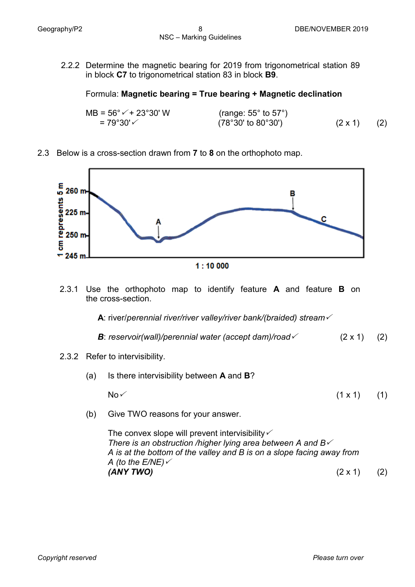2.2.2 Determine the magnetic bearing for 2019 from trigonometrical station 89 in block **C7** to trigonometrical station 83 in block **B9**.

# Formula: **Magnetic bearing = True bearing + Magnetic declination**

| $MB = 56^{\circ}$ $\sqrt{+23^{\circ}30^{\circ}}$ W | (range: $55^{\circ}$ to $57^{\circ}$ ) |                |     |
|----------------------------------------------------|----------------------------------------|----------------|-----|
|                                                    | $(78°30'$ to $80°30')$                 | $(2 \times 1)$ | (2) |

# 2.3 Below is a cross-section drawn from **7** to **8** on the orthophoto map.



2.3.1 Use the orthophoto map to identify feature **A** and feature **B** on the cross-section.

 **A**: river/*perennial river/river valley/river bank/(braided) stream*

*B*: *reservoir(wall)/perennial water (accept dam)/road*  $\checkmark$  (2 x 1) (2)

# 2.3.2 Refer to intervisibility.

- (a) Is there intervisibility between **A** and **B**? No  $\times$  (1 x 1) (1)
- (b) Give TWO reasons for your answer.

The convex slope will prevent intervisibility  $\checkmark$ *There is an obstruction /higher lying area between A and B A is at the bottom of the valley and B is on a slope facing away from A (to the E/NE) (ANY TWO)* (2 x 1)(2)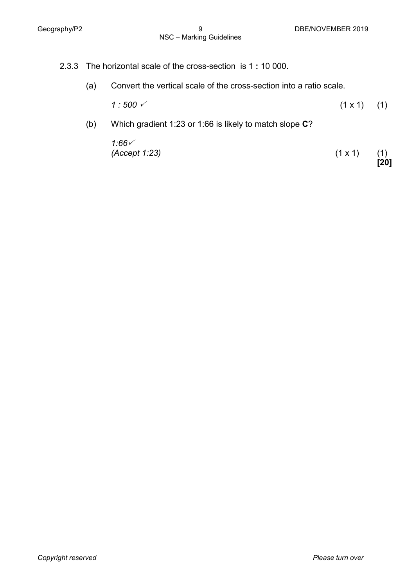- 2.3.3 The horizontal scale of the cross-section is 1 **:** 10 000.
	- (a) Convert the vertical scale of the cross-section into a ratio scale.
		- $1:500 \checkmark$  (1 x 1) (1)
	- (b) Which gradient 1:23 or 1:66 is likely to match slope **C**?

$$
1.66 \times
$$
  
(Accept 1:23) (1 x 1) (1)

**[20]**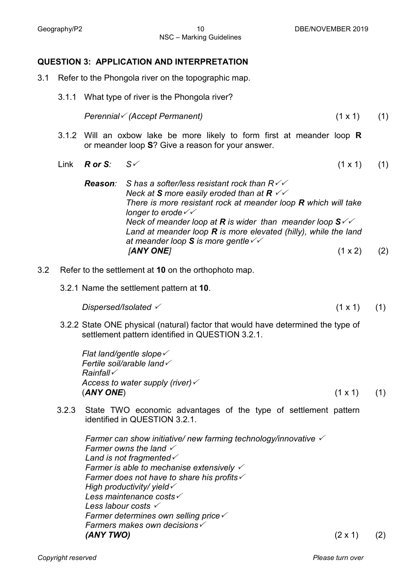### **QUESTION 3: APPLICATION AND INTERPRETATION**

- 3.1 Refer to the Phongola river on the topographic map.
	- 3.1.1 What type of river is the Phongola river?

*Perennial (Accept Permanent)* (1 x 1) (1)

- 3.1.2 Will an oxbow lake be more likely to form first at meander loop **R** or meander loop **S**? Give a reason for your answer.
- Link  $R$  or S:  $S \vee$  (1 x 1) (1)
	- *Reason: S has a softer/less resistant rock than R Neck at S more easily eroded than at R There is more resistant rock at meander loop R which will take longer to erode Neck of meander loop at R is wider than meander loop S Land at meander loop R is more elevated (hilly), while the land at meander loop S is more gentle [ANY ONE]* (1 x 2) (2)
- 3.2 Refer to the settlement at **10** on the orthophoto map.
	- 3.2.1 Name the settlement pattern at **10**.

 $Dispersed/Isolated \t(1 x 1)$  (1)

3.2.2 State ONE physical (natural) factor that would have determined the type of settlement pattern identified in QUESTION 3.2.1.

*Flat land/gentle slope Fertile soil/arable land Rainfall Access to water supply (river)*  $(1 \times 1)$  (1)

3.2.3 State TWO economic advantages of the type of settlement pattern identified in QUESTION 3.2.1.

*Farmer can show initiative/ new farming technology/innovative Farmer owns the land Land is not fragmented Farmer is able to mechanise extensively Farmer does not have to share his profits High productivity/ yield Less maintenance costs Less labour costs Farmer determines own selling price Farmers makes own decisions (ANY TWO)* (2 x 1) (2)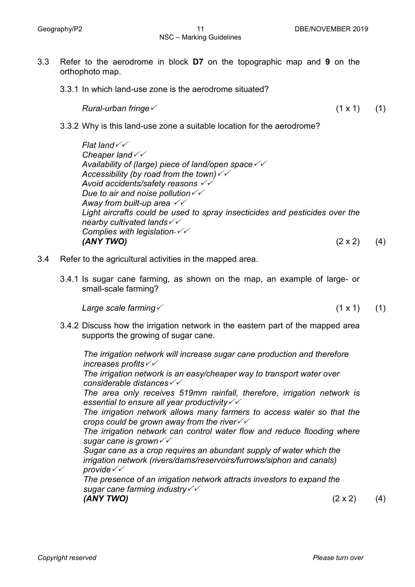NSC – Marking Guidelines

3.3.1 In which land-use zone is the aerodrome situated?

*Rural-urban fringe* (1 x 1) (1)

3.3.2 Why is this land-use zone a suitable location for the aerodrome?

*Flat land Cheaper land Availability of (large) piece of land/open space Accessibility (by road from the town) Avoid accidents/safety reasons Due to air and noise pollution Away from built-up area Light aircrafts could be used to spray insecticides and pesticides over the nearby cultivated lands Complies with legislation (ANY TWO)* (2 x 2) (4)

- 3.4 Refer to the agricultural activities in the mapped area.
	- 3.4.1 Is sugar cane farming, as shown on the map, an example of large- or small-scale farming?

*Large scale farming*  $(1 \times 1)$  (1)

3.4.2 Discuss how the irrigation network in the eastern part of the mapped area supports the growing of sugar cane.

*The irrigation network will increase sugar cane production and therefore increases profits*

*The irrigation network is an easy/cheaper way to transport water over considerable distances*

*The area only receives 519mm rainfall, therefore, irrigation network is essential to ensure all year productivity*

*The irrigation network allows many farmers to access water so that the crops could be grown away from the river*

*The irrigation network can control water flow and reduce flooding where sugar cane is grown*

*Sugar cane as a crop requires an abundant supply of water which the irrigation network (rivers/dams/reservoirs/furrows/siphon and canals) provide*

*The presence of an irrigation network attracts investors to expand the sugar cane farming industry (ANY TWO)* (2 x 2) (4)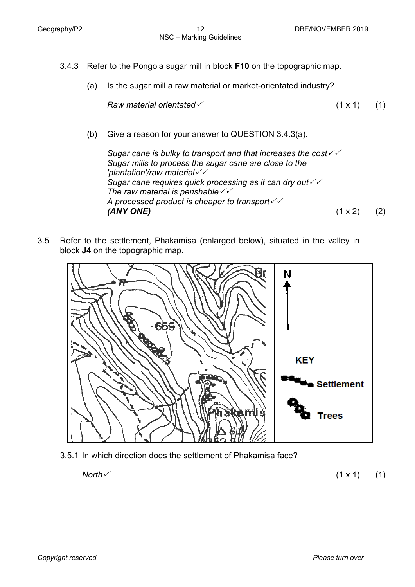- 3.4.3 Refer to the Pongola sugar mill in block **F10** on the topographic map.
	- (a) Is the sugar mill a raw material or market-orientated industry?

```
\mathsf{Raw}\mathsf{\:} material orientated \checkmark (1 x 1) (1)
```
(b) Give a reason for your answer to QUESTION 3.4.3(a).

*Sugar cane is bulky to transport and that increases the cost Sugar mills to process the sugar cane are close to the 'plantation'/raw material Sugar cane requires quick processing as it can dry out The raw material is perishable A processed product is cheaper to transport (ANY ONE)* (1 x 2) (2)

3.5 Refer to the settlement, Phakamisa (enlarged below), situated in the valley in block **J4** on the topographic map.



3.5.1 In which direction does the settlement of Phakamisa face?

*North* (1 x 1) (1)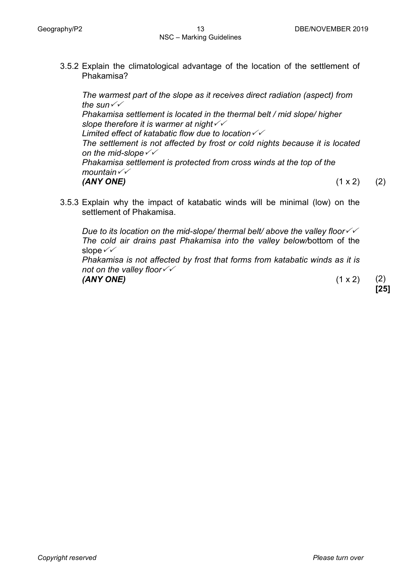3.5.2 Explain the climatological advantage of the location of the settlement of Phakamisa?

*The warmest part of the slope as it receives direct radiation (aspect) from the sun Phakamisa settlement is located in the thermal belt / mid slope/ higher slope therefore it is warmer at night Limited effect of katabatic flow due to location The settlement is not affected by frost or cold nights because it is located on the mid-slope Phakamisa settlement is protected from cross winds at the top of the mountain (ANY ONE)* (1 x 2) (2)

3.5.3 Explain why the impact of katabatic winds will be minimal (low) on the settlement of Phakamisa.

*Due to its location on the mid-slope/ thermal belt/ above the valley floor The cold air drains past Phakamisa into the valley below/*bottom of the slope  $\checkmark\checkmark$ 

*Phakamisa is not affected by frost that forms from katabatic winds as it is not on the valley floor (ANY ONE)* (1 x 2) (2)

**[25]**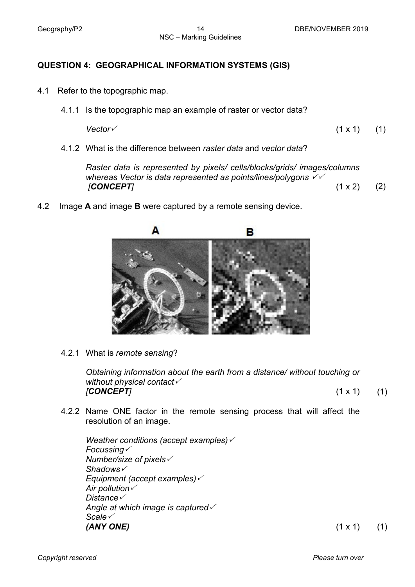# **QUESTION 4: GEOGRAPHICAL INFORMATION SYSTEMS (GIS)**

- 4.1 Refer to the topographic map.
	- 4.1.1 Is the topographic map an example of raster or vector data?

 $\vee$  *Vector*  $\vee$  (1 x 1) (1)

4.1.2 What is the difference between *raster data* and *vector data*?

*Raster data is represented by pixels/ cells/blocks/grids/ images/columns whereas Vector is data represented as points/lines/polygons [CONCEPT]* (1 x 2) (2)

4.2 Image **A** and image **B** were captured by a remote sensing device.



4.2.1 What is *remote sensing*?

*Obtaining information about the earth from a distance/ without touching or without physical contact [CONCEPT]* (1 x 1) (1)

4.2.2 Name ONE factor in the remote sensing process that will affect the resolution of an image.

*Weather conditions (accept examples) Focussing Number/size of pixels Shadows Equipment (accept examples) Air pollution Distance Angle at which image is captured Scale (ANY ONE)* (1 x 1) (1)